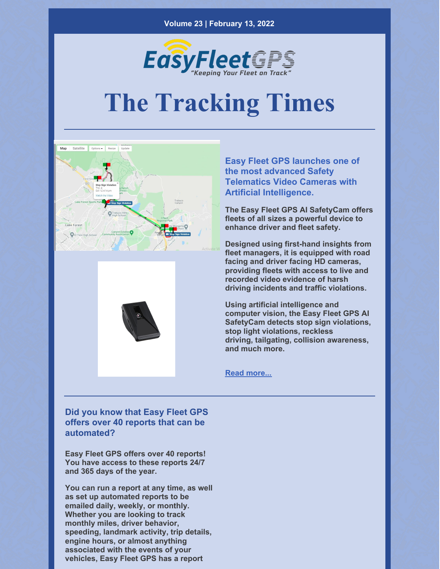

# **The Tracking Times**





**Easy Fleet GPS launches one of the most advanced Safety Telematics Video Cameras with Artificial Intelligence.**

**The Easy Fleet GPS AI SafetyCam offers fleets of all sizes a powerful device to enhance driver and fleet safety.**

**Designed using first-hand insights from fleet managers, it is equipped with road facing and driver facing HD cameras, providing fleets with access to live and recorded video evidence of harsh driving incidents and traffic violations.**

**Using artificial intelligence and computer vision, the Easy Fleet GPS AI SafetyCam detects stop sign violations, stop light violations, reckless driving, tailgating, collision awareness, and much more.**

**Read [more...](https://easyfleetgps.com/safety-cam/)**

**Did you know that Easy Fleet GPS offers over 40 reports that can be automated?**

**Easy Fleet GPS offers over 40 reports! You have access to these reports 24/7 and 365 days of the year.**

**You can run a report at any time, as well as set up automated reports to be emailed daily, weekly, or monthly. Whether you are looking to track monthly miles, driver behavior, speeding, landmark activity, trip details, engine hours, or almost anything associated with the events of your vehicles, Easy Fleet GPS has a report**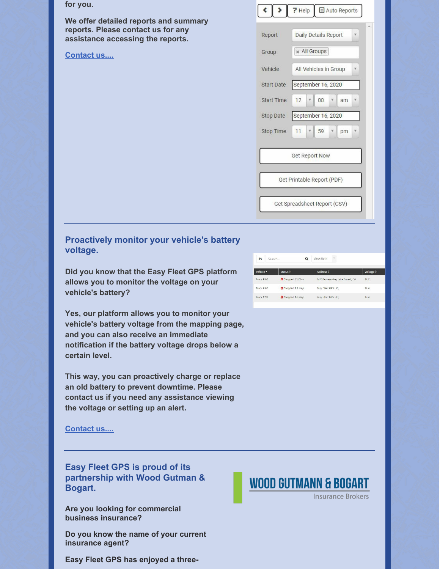| for you.                                                                    |                   | <b>7</b> Help<br><b>El Auto Reports</b>                        |  |
|-----------------------------------------------------------------------------|-------------------|----------------------------------------------------------------|--|
| We offer detailed reports and summary<br>reports. Please contact us for any | Report            | <b>Daily Details Report</b><br>$\overline{\mathbf{v}}$         |  |
| assistance accessing the reports.<br><b>Contact us</b>                      | Group             | * All Groups                                                   |  |
|                                                                             | Vehicle           | All Vehicles in Group<br>٧                                     |  |
|                                                                             | <b>Start Date</b> | September 16, 2020                                             |  |
|                                                                             | <b>Start Time</b> | 12<br>00<br>$\mathbf{v}$<br>v<br>am<br>$\overline{\mathbf{v}}$ |  |
|                                                                             | Stop Date         | September 16, 2020                                             |  |
|                                                                             | Stop Time         | 11<br>59<br>$\mathbf{v}$<br>۷<br>pm<br>$\overline{\mathbf{v}}$ |  |
|                                                                             |                   | <b>Get Report Now</b>                                          |  |
|                                                                             |                   | Get Printable Report (PDF)                                     |  |
|                                                                             |                   | Get Spreadsheet Report (CSV)                                   |  |
|                                                                             |                   |                                                                |  |

### **Proactively monitor your vehicle's battery voltage.**

**Did you know that the Easy Fleet GPS platform allows you to monitor the voltage on your vehicle's battery?**

**Yes, our platform allows you to monitor your vehicle's battery voltage from the mapping page, and you can also receive an immediate notification if the battery voltage drops below a certain level.**

**This way, you can proactively charge or replace an old battery to prevent downtime. Please contact us if you need any assistance viewing the voltage or setting up an alert.**

#### **[Contact](mailto:info@easyfleetgps.com) us....**

**Easy Fleet GPS is proud of its partnership with Wood Gutman & Bogart.**

**Are you looking for commercial business insurance?**

**Do you know the name of your current insurance agent?**

**Easy Fleet GPS has enjoyed a three-**



## **WOOD GUTMANN & BOGART**

**Insurance Brokers**